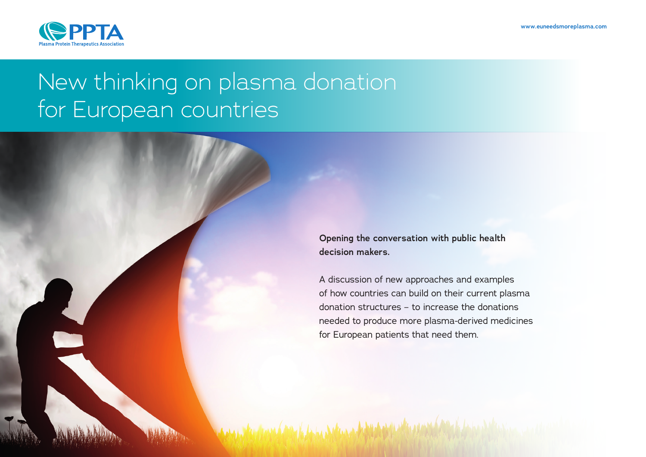

## New thinking on plasma donation for European countries

**Opening the conversation with public health decision makers.** 

and the state of contract the factor in the factor of the state of the state of the state of the state of the

A discussion of new approaches and examples of how countries can build on their current plasma donation structures – to increase the donations needed to produce more plasma-derived medicines for European patients that need them.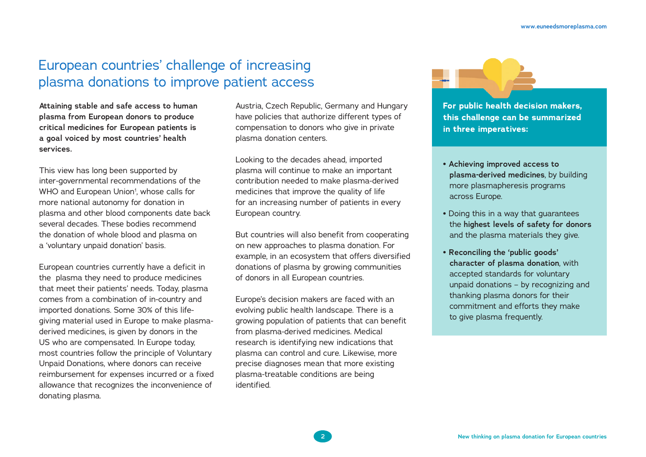## European countries' challenge of increasing plasma donations to improve patient access

**Attaining stable and safe access to human plasma from European donors to produce critical medicines for European patients is a goal voiced by most countries' health services.** 

This view has long been supported by inter-governmental recommendations of the WHO and European Union<sup>1</sup>, whose calls for more national autonomy for donation in plasma and other blood components date back several decades. These bodies recommend the donation of whole blood and plasma on a 'voluntary unpaid donation' basis.

European countries currently have a deficit in the plasma they need to produce medicines that meet their patients' needs. Today, plasma comes from a combination of in-country and imported donations. Some 30% of this lifegiving material used in Europe to make plasmaderived medicines, is given by donors in the US who are compensated. In Europe today, most countries follow the principle of Voluntary Unpaid Donations, where donors can receive reimbursement for expenses incurred or a fixed allowance that recognizes the inconvenience of donating plasma.

Austria, Czech Republic, Germany and Hungary have policies that authorize different types of compensation to donors who give in private plasma donation centers.

Looking to the decades ahead, imported plasma will continue to make an important contribution needed to make plasma-derived medicines that improve the quality of life for an increasing number of patients in every European country.

But countries will also benefit from cooperating on new approaches to plasma donation. For example, in an ecosystem that offers diversified donations of plasma by growing communities of donors in all European countries.

Europe's decision makers are faced with an evolving public health landscape. There is a growing population of patients that can benefit from plasma-derived medicines. Medical research is identifying new indications that plasma can control and cure. Likewise, more precise diagnoses mean that more existing plasma-treatable conditions are being identified.

**For public health decision makers, this challenge can be summarized in three imperatives:**

- **Achieving improved access to plasma-derived medicines**, by building more plasmapheresis programs across Europe.
- Doing this in a way that guarantees the **highest levels of safety for donors** and the plasma materials they give.
- **Reconciling the 'public goods' character of plasma donation**, with accepted standards for voluntary unpaid donations – by recognizing and thanking plasma donors for their commitment and efforts they make to give plasma frequently.